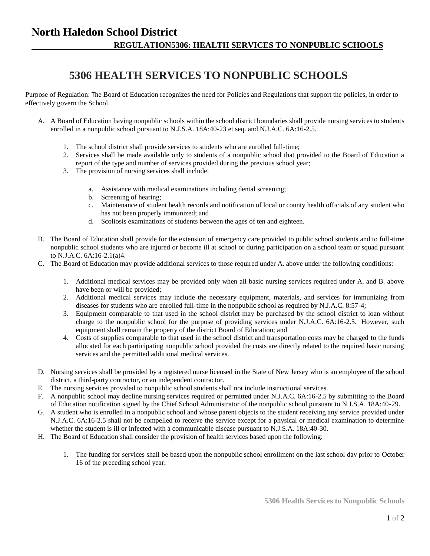## **5306 HEALTH SERVICES TO NONPUBLIC SCHOOLS**

Purpose of Regulation: The Board of Education recognizes the need for Policies and Regulations that support the policies, in order to effectively govern the School.

- A. A Board of Education having nonpublic schools within the school district boundaries shall provide nursing services to students enrolled in a nonpublic school pursuant to N.J.S.A. 18A:40-23 et seq. and N.J.A.C. 6A:16-2.5.
	- 1. The school district shall provide services to students who are enrolled full-time;
	- 2. Services shall be made available only to students of a nonpublic school that provided to the Board of Education a report of the type and number of services provided during the previous school year;
	- 3. The provision of nursing services shall include:
		- a. Assistance with medical examinations including dental screening;
		- b. Screening of hearing;
		- c. Maintenance of student health records and notification of local or county health officials of any student who has not been properly immunized; and
		- d. Scoliosis examinations of students between the ages of ten and eighteen.
- B. The Board of Education shall provide for the extension of emergency care provided to public school students and to full-time nonpublic school students who are injured or become ill at school or during participation on a school team or squad pursuant to N.J.A.C. 6A:16-2.1(a)4.
- C. The Board of Education may provide additional services to those required under A. above under the following conditions:
	- 1. Additional medical services may be provided only when all basic nursing services required under A. and B. above have been or will be provided;
	- 2. Additional medical services may include the necessary equipment, materials, and services for immunizing from diseases for students who are enrolled full-time in the nonpublic school as required by N.J.A.C. 8:57-4;
	- 3. Equipment comparable to that used in the school district may be purchased by the school district to loan without charge to the nonpublic school for the purpose of providing services under N.J.A.C. 6A:16-2.5. However, such equipment shall remain the property of the district Board of Education; and
	- 4. Costs of supplies comparable to that used in the school district and transportation costs may be charged to the funds allocated for each participating nonpublic school provided the costs are directly related to the required basic nursing services and the permitted additional medical services.
- D. Nursing services shall be provided by a registered nurse licensed in the State of New Jersey who is an employee of the school district, a third-party contractor, or an independent contractor.
- E. The nursing services provided to nonpublic school students shall not include instructional services.
- F. A nonpublic school may decline nursing services required or permitted under N.J.A.C. 6A:16-2.5 by submitting to the Board of Education notification signed by the Chief School Administrator of the nonpublic school pursuant to N.J.S.A. 18A:40-29.
- G. A student who is enrolled in a nonpublic school and whose parent objects to the student receiving any service provided under N.J.A.C. 6A:16-2.5 shall not be compelled to receive the service except for a physical or medical examination to determine whether the student is ill or infected with a communicable disease pursuant to N.J.S.A. 18A:40-30.
- H. The Board of Education shall consider the provision of health services based upon the following:
	- 1. The funding for services shall be based upon the nonpublic school enrollment on the last school day prior to October 16 of the preceding school year;